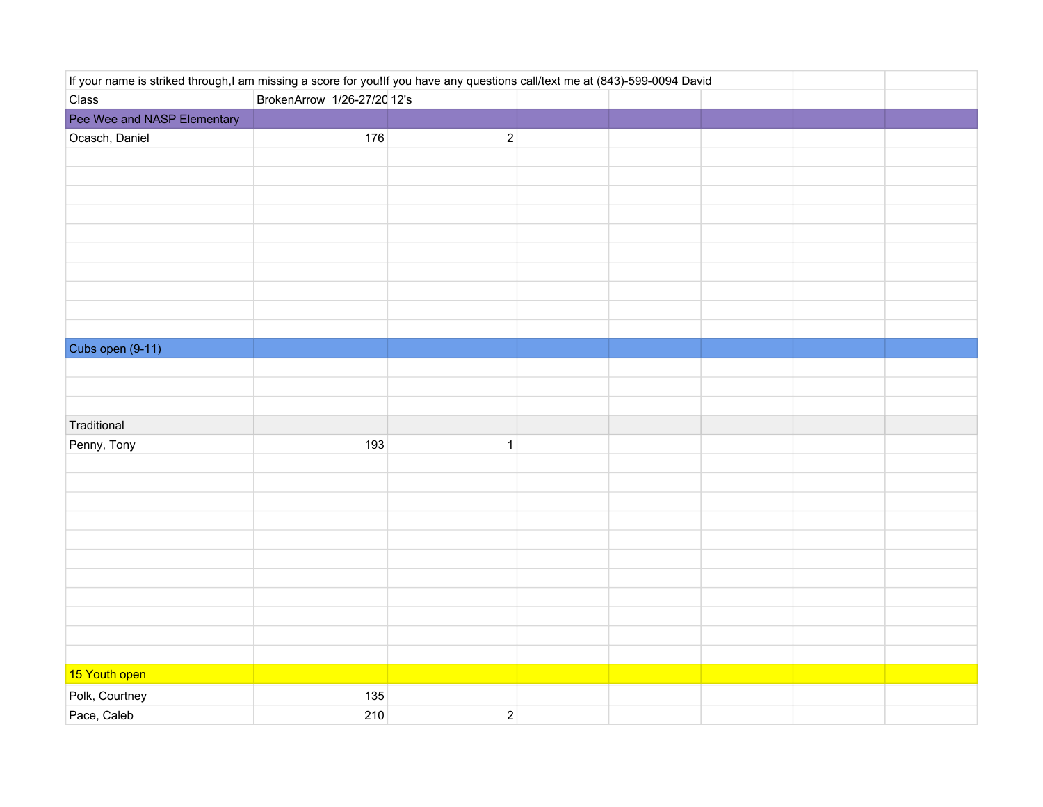| If your name is striked through,I am missing a score for you!If you have any questions call/text me at (843)-599-0094 David |                             |              |  |  |  |  |  |
|-----------------------------------------------------------------------------------------------------------------------------|-----------------------------|--------------|--|--|--|--|--|
| Class                                                                                                                       | BrokenArrow 1/26-27/20 12's |              |  |  |  |  |  |
| Pee Wee and NASP Elementary                                                                                                 |                             |              |  |  |  |  |  |
| Ocasch, Daniel                                                                                                              | 176                         | $\sqrt{2}$   |  |  |  |  |  |
|                                                                                                                             |                             |              |  |  |  |  |  |
|                                                                                                                             |                             |              |  |  |  |  |  |
|                                                                                                                             |                             |              |  |  |  |  |  |
|                                                                                                                             |                             |              |  |  |  |  |  |
|                                                                                                                             |                             |              |  |  |  |  |  |
|                                                                                                                             |                             |              |  |  |  |  |  |
|                                                                                                                             |                             |              |  |  |  |  |  |
|                                                                                                                             |                             |              |  |  |  |  |  |
|                                                                                                                             |                             |              |  |  |  |  |  |
|                                                                                                                             |                             |              |  |  |  |  |  |
| Cubs open (9-11)                                                                                                            |                             |              |  |  |  |  |  |
|                                                                                                                             |                             |              |  |  |  |  |  |
|                                                                                                                             |                             |              |  |  |  |  |  |
|                                                                                                                             |                             |              |  |  |  |  |  |
| Traditional                                                                                                                 |                             |              |  |  |  |  |  |
| Penny, Tony                                                                                                                 | 193                         | $\mathbf{1}$ |  |  |  |  |  |
|                                                                                                                             |                             |              |  |  |  |  |  |
|                                                                                                                             |                             |              |  |  |  |  |  |
|                                                                                                                             |                             |              |  |  |  |  |  |
|                                                                                                                             |                             |              |  |  |  |  |  |
|                                                                                                                             |                             |              |  |  |  |  |  |
|                                                                                                                             |                             |              |  |  |  |  |  |
|                                                                                                                             |                             |              |  |  |  |  |  |
|                                                                                                                             |                             |              |  |  |  |  |  |
|                                                                                                                             |                             |              |  |  |  |  |  |
|                                                                                                                             |                             |              |  |  |  |  |  |
|                                                                                                                             |                             |              |  |  |  |  |  |
| 15 Youth open                                                                                                               |                             |              |  |  |  |  |  |
| Polk, Courtney                                                                                                              | 135                         |              |  |  |  |  |  |
| Pace, Caleb                                                                                                                 | 210                         | $\sqrt{2}$   |  |  |  |  |  |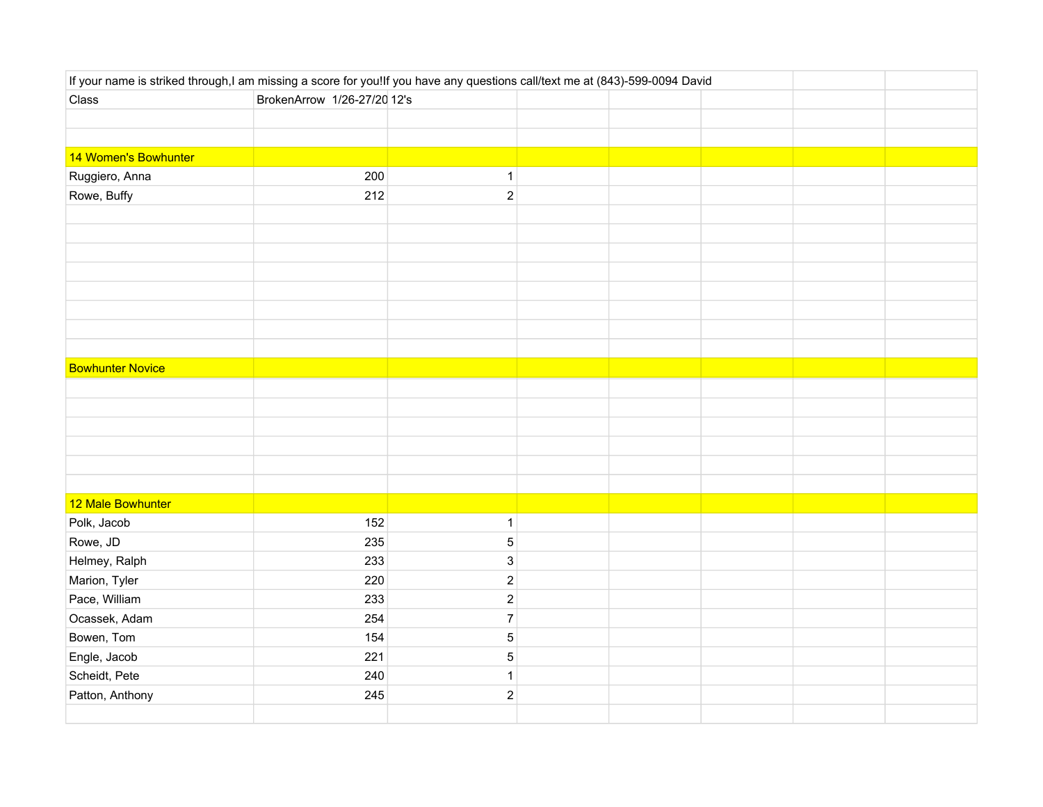| If your name is striked through,I am missing a score for you!If you have any questions call/text me at (843)-599-0094 David |                             |                           |  |  |  |
|-----------------------------------------------------------------------------------------------------------------------------|-----------------------------|---------------------------|--|--|--|
| Class                                                                                                                       | BrokenArrow 1/26-27/20 12's |                           |  |  |  |
|                                                                                                                             |                             |                           |  |  |  |
|                                                                                                                             |                             |                           |  |  |  |
| 14 Women's Bowhunter                                                                                                        |                             |                           |  |  |  |
| Ruggiero, Anna                                                                                                              | 200                         | $\mathbf{1}$              |  |  |  |
| Rowe, Buffy                                                                                                                 | 212                         | $\sqrt{2}$                |  |  |  |
|                                                                                                                             |                             |                           |  |  |  |
|                                                                                                                             |                             |                           |  |  |  |
|                                                                                                                             |                             |                           |  |  |  |
|                                                                                                                             |                             |                           |  |  |  |
|                                                                                                                             |                             |                           |  |  |  |
|                                                                                                                             |                             |                           |  |  |  |
|                                                                                                                             |                             |                           |  |  |  |
|                                                                                                                             |                             |                           |  |  |  |
| <b>Bowhunter Novice</b>                                                                                                     |                             |                           |  |  |  |
|                                                                                                                             |                             |                           |  |  |  |
|                                                                                                                             |                             |                           |  |  |  |
|                                                                                                                             |                             |                           |  |  |  |
|                                                                                                                             |                             |                           |  |  |  |
|                                                                                                                             |                             |                           |  |  |  |
|                                                                                                                             |                             |                           |  |  |  |
| 12 Male Bowhunter                                                                                                           |                             |                           |  |  |  |
| Polk, Jacob                                                                                                                 | 152                         | $\mathbf{1}$              |  |  |  |
| Rowe, JD                                                                                                                    | 235                         | $\mathbf 5$               |  |  |  |
| Helmey, Ralph                                                                                                               | 233                         | $\ensuremath{\mathsf{3}}$ |  |  |  |
| Marion, Tyler                                                                                                               | 220                         | $\sqrt{2}$                |  |  |  |
| Pace, William                                                                                                               | 233                         | $\sqrt{2}$                |  |  |  |
| Ocassek, Adam                                                                                                               | 254                         | $\boldsymbol{7}$          |  |  |  |
| Bowen, Tom                                                                                                                  | 154                         | $\mathbf 5$               |  |  |  |
| Engle, Jacob                                                                                                                | 221                         | $\mathbf 5$               |  |  |  |
| Scheidt, Pete                                                                                                               | 240                         | $\mathbf 1$               |  |  |  |
| Patton, Anthony                                                                                                             | 245                         | $\boldsymbol{2}$          |  |  |  |
|                                                                                                                             |                             |                           |  |  |  |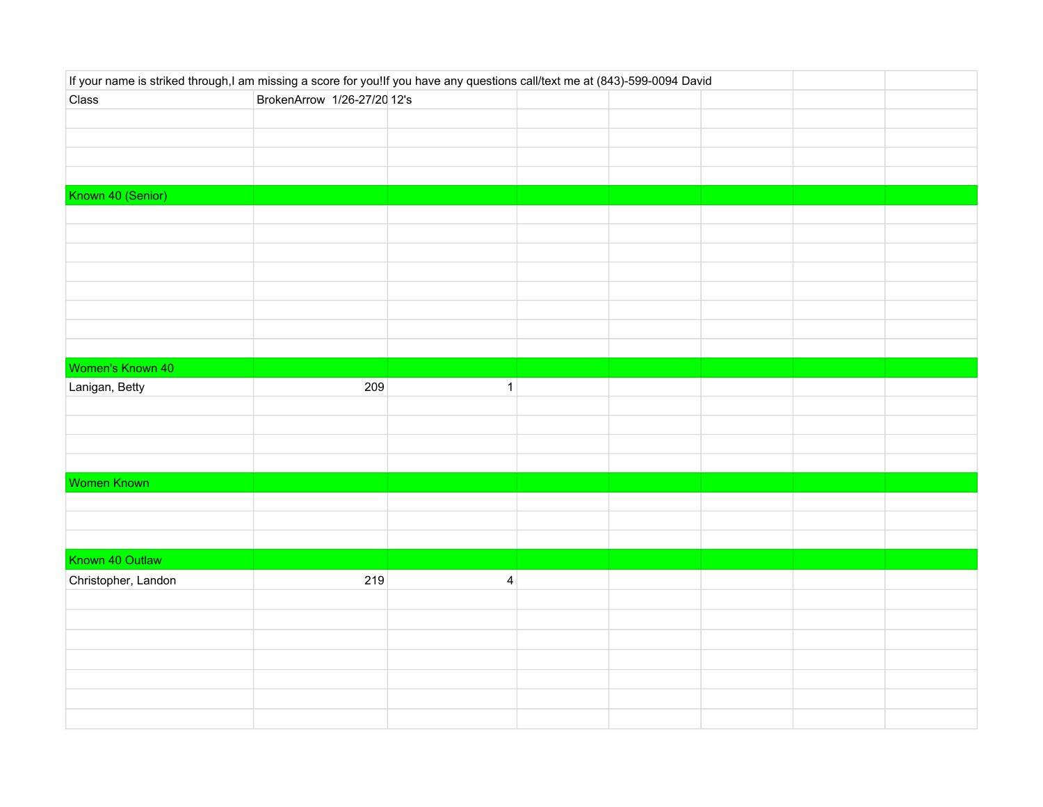| If your name is striked through,I am missing a score for you!If you have any questions call/text me at (843)-599-0094 David |                             |                         |  |  |  |  |  |
|-----------------------------------------------------------------------------------------------------------------------------|-----------------------------|-------------------------|--|--|--|--|--|
| Class                                                                                                                       | BrokenArrow 1/26-27/20 12's |                         |  |  |  |  |  |
|                                                                                                                             |                             |                         |  |  |  |  |  |
|                                                                                                                             |                             |                         |  |  |  |  |  |
|                                                                                                                             |                             |                         |  |  |  |  |  |
|                                                                                                                             |                             |                         |  |  |  |  |  |
| Known 40 (Senior)                                                                                                           |                             |                         |  |  |  |  |  |
|                                                                                                                             |                             |                         |  |  |  |  |  |
|                                                                                                                             |                             |                         |  |  |  |  |  |
|                                                                                                                             |                             |                         |  |  |  |  |  |
|                                                                                                                             |                             |                         |  |  |  |  |  |
|                                                                                                                             |                             |                         |  |  |  |  |  |
|                                                                                                                             |                             |                         |  |  |  |  |  |
|                                                                                                                             |                             |                         |  |  |  |  |  |
|                                                                                                                             |                             |                         |  |  |  |  |  |
| Women's Known 40                                                                                                            |                             |                         |  |  |  |  |  |
| Lanigan, Betty                                                                                                              | 209                         | $\mathbf{1}$            |  |  |  |  |  |
|                                                                                                                             |                             |                         |  |  |  |  |  |
|                                                                                                                             |                             |                         |  |  |  |  |  |
|                                                                                                                             |                             |                         |  |  |  |  |  |
|                                                                                                                             |                             |                         |  |  |  |  |  |
| Women Known                                                                                                                 |                             |                         |  |  |  |  |  |
|                                                                                                                             |                             |                         |  |  |  |  |  |
|                                                                                                                             |                             |                         |  |  |  |  |  |
|                                                                                                                             |                             |                         |  |  |  |  |  |
| Known 40 Outlaw                                                                                                             |                             |                         |  |  |  |  |  |
| Christopher, Landon                                                                                                         | 219                         | $\overline{\mathbf{4}}$ |  |  |  |  |  |
|                                                                                                                             |                             |                         |  |  |  |  |  |
|                                                                                                                             |                             |                         |  |  |  |  |  |
|                                                                                                                             |                             |                         |  |  |  |  |  |
|                                                                                                                             |                             |                         |  |  |  |  |  |
|                                                                                                                             |                             |                         |  |  |  |  |  |
|                                                                                                                             |                             |                         |  |  |  |  |  |
|                                                                                                                             |                             |                         |  |  |  |  |  |